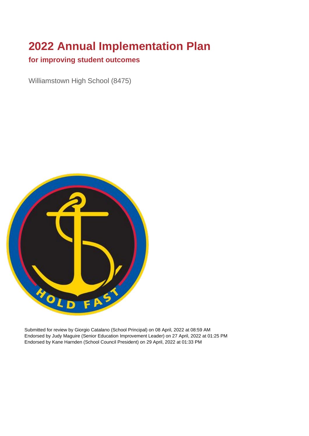# **2022 Annual Implementation Plan**

#### **for improving student outcomes**

Williamstown High School (8475)



Submitted for review by Giorgio Catalano (School Principal) on 08 April, 2022 at 08:59 AM Endorsed by Judy Maguire (Senior Education Improvement Leader) on 27 April, 2022 at 01:25 PM Endorsed by Kane Harnden (School Council President) on 29 April, 2022 at 01:33 PM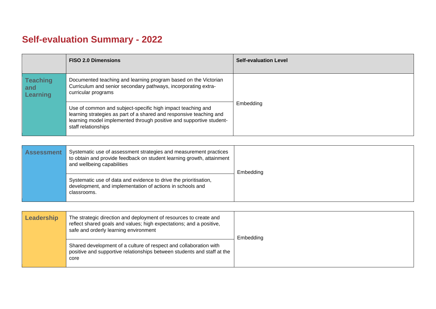## **Self-evaluation Summary - 2022**

|                                    | <b>FISO 2.0 Dimensions</b>                                                                                                                                                                                                       | <b>Self-evaluation Level</b> |
|------------------------------------|----------------------------------------------------------------------------------------------------------------------------------------------------------------------------------------------------------------------------------|------------------------------|
| <b>Teaching</b><br>and<br>Learning | Documented teaching and learning program based on the Victorian<br>Curriculum and senior secondary pathways, incorporating extra-<br>curricular programs                                                                         |                              |
|                                    | Use of common and subject-specific high impact teaching and<br>learning strategies as part of a shared and responsive teaching and<br>learning model implemented through positive and supportive student-<br>staff relationships | Embedding                    |

| <b>Assessment</b> | Systematic use of assessment strategies and measurement practices<br>to obtain and provide feedback on student learning growth, attainment<br>and wellbeing capabilities | Embedding |
|-------------------|--------------------------------------------------------------------------------------------------------------------------------------------------------------------------|-----------|
|                   | Systematic use of data and evidence to drive the prioritisation,<br>development, and implementation of actions in schools and<br>classrooms.                             |           |

| Leadership | The strategic direction and deployment of resources to create and<br>reflect shared goals and values; high expectations; and a positive,<br>safe and orderly learning environment | Embedding |
|------------|-----------------------------------------------------------------------------------------------------------------------------------------------------------------------------------|-----------|
|            | Shared development of a culture of respect and collaboration with<br>positive and supportive relationships between students and staff at the<br>core                              |           |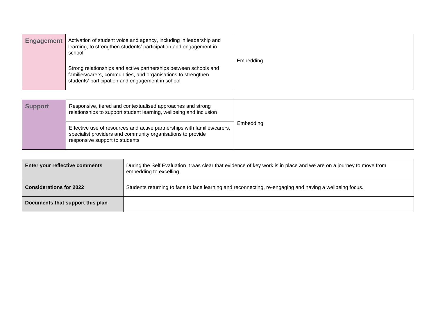| <b>Engagement</b> | Activation of student voice and agency, including in leadership and<br>learning, to strengthen students' participation and engagement in<br>school                                    | Embedding |
|-------------------|---------------------------------------------------------------------------------------------------------------------------------------------------------------------------------------|-----------|
|                   | Strong relationships and active partnerships between schools and<br>families/carers, communities, and organisations to strengthen<br>students' participation and engagement in school |           |

| <b>Support</b> | Responsive, tiered and contextualised approaches and strong<br>relationships to support student learning, wellbeing and inclusion                                         |           |
|----------------|---------------------------------------------------------------------------------------------------------------------------------------------------------------------------|-----------|
|                | Effective use of resources and active partnerships with families/carers,<br>specialist providers and community organisations to provide<br>responsive support to students | Embedding |

| Enter your reflective comments   | During the Self Evaluation it was clear that evidence of key work is in place and we are on a journey to move from<br>embedding to excelling. |  |
|----------------------------------|-----------------------------------------------------------------------------------------------------------------------------------------------|--|
| <b>Considerations for 2022</b>   | Students returning to face to face learning and reconnecting, re-engaging and having a wellbeing focus.                                       |  |
| Documents that support this plan |                                                                                                                                               |  |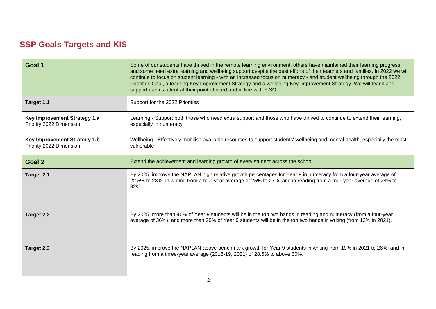### **SSP Goals Targets and KIS**

| Goal 1                                                         | Some of our students have thrived in the remote learning environment, others have maintained their learning progress,<br>and some need extra learning and wellbeing support despite the best efforts of their teachers and families. In 2022 we will<br>continue to focus on student learning - with an increased focus on numeracy - and student wellbeing through the 2022<br>Priorities Goal, a learning Key Improvement Strategy and a wellbeing Key Improvement Strategy. We will teach and<br>support each student at their point of need and in line with FISO. |  |  |
|----------------------------------------------------------------|------------------------------------------------------------------------------------------------------------------------------------------------------------------------------------------------------------------------------------------------------------------------------------------------------------------------------------------------------------------------------------------------------------------------------------------------------------------------------------------------------------------------------------------------------------------------|--|--|
| Target 1.1                                                     | Support for the 2022 Priorities                                                                                                                                                                                                                                                                                                                                                                                                                                                                                                                                        |  |  |
| <b>Key Improvement Strategy 1.a</b><br>Priority 2022 Dimension | Learning - Support both those who need extra support and those who have thrived to continue to extend their learning,<br>especially in numeracy                                                                                                                                                                                                                                                                                                                                                                                                                        |  |  |
| Key Improvement Strategy 1.b<br>Priority 2022 Dimension        | Wellbeing - Effectively mobilise available resources to support students' wellbeing and mental health, especially the most<br>vulnerable                                                                                                                                                                                                                                                                                                                                                                                                                               |  |  |
| Goal 2                                                         | Extend the achievement and learning growth of every student across the school.                                                                                                                                                                                                                                                                                                                                                                                                                                                                                         |  |  |
| Target 2.1                                                     | By 2025, improve the NAPLAN high relative growth percentages for Year 9 in numeracy from a four-year average of<br>22.5% to 28%, in writing from a four-year average of 25% to 27%, and in reading from a four-year average of 28% to<br>32%.                                                                                                                                                                                                                                                                                                                          |  |  |
| <b>Target 2.2</b>                                              | By 2025, more than 40% of Year 9 students will be in the top two bands in reading and numeracy (from a four-year<br>average of 36%), and more than 20% of Year 9 students will be in the top two bands in writing (from 12% in 2021).                                                                                                                                                                                                                                                                                                                                  |  |  |
| Target 2.3                                                     | By 2025, improve the NAPLAN above benchmark growth for Year 9 students in writing from 19% in 2021 to 26%, and in<br>reading from a three-year average (2018-19, 2021) of 28.6% to above 30%.                                                                                                                                                                                                                                                                                                                                                                          |  |  |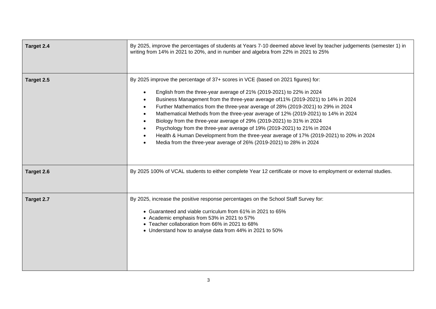| Target 2.4 | By 2025, improve the percentages of students at Years 7-10 deemed above level by teacher judgements (semester 1) in<br>writing from 14% in 2021 to 20%, and in number and algebra from 22% in 2021 to 25%                                                                                                                                                                                                                                                                                                                                                                                                                                                                                                                                                                                                                       |  |  |
|------------|---------------------------------------------------------------------------------------------------------------------------------------------------------------------------------------------------------------------------------------------------------------------------------------------------------------------------------------------------------------------------------------------------------------------------------------------------------------------------------------------------------------------------------------------------------------------------------------------------------------------------------------------------------------------------------------------------------------------------------------------------------------------------------------------------------------------------------|--|--|
| Target 2.5 | By 2025 improve the percentage of 37+ scores in VCE (based on 2021 figures) for:<br>English from the three-year average of 21% (2019-2021) to 22% in 2024<br>$\bullet$<br>Business Management from the three-year average of 11% (2019-2021) to 14% in 2024<br>$\bullet$<br>Further Mathematics from the three-year average of 28% (2019-2021) to 29% in 2024<br>$\bullet$<br>Mathematical Methods from the three-year average of 12% (2019-2021) to 14% in 2024<br>$\bullet$<br>Biology from the three-year average of 29% (2019-2021) to 31% in 2024<br>Psychology from the three-year average of 19% (2019-2021) to 21% in 2024<br>$\bullet$<br>Health & Human Development from the three-year average of 17% (2019-2021) to 20% in 2024<br>$\bullet$<br>Media from the three-year average of 26% (2019-2021) to 28% in 2024 |  |  |
| Target 2.6 | By 2025 100% of VCAL students to either complete Year 12 certificate or move to employment or external studies.                                                                                                                                                                                                                                                                                                                                                                                                                                                                                                                                                                                                                                                                                                                 |  |  |
| Target 2.7 | By 2025, increase the positive response percentages on the School Staff Survey for:<br>• Guaranteed and viable curriculum from 61% in 2021 to 65%<br>• Academic emphasis from 53% in 2021 to 57%<br>• Teacher collaboration from 66% in 2021 to 68%<br>• Understand how to analyse data from 44% in 2021 to 50%                                                                                                                                                                                                                                                                                                                                                                                                                                                                                                                 |  |  |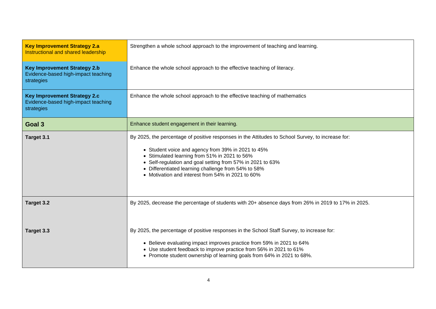| <b>Key Improvement Strategy 2.a</b><br>Instructional and shared leadership               | Strengthen a whole school approach to the improvement of teaching and learning.                                                                                                                                                                                                                                                                                                    |  |  |
|------------------------------------------------------------------------------------------|------------------------------------------------------------------------------------------------------------------------------------------------------------------------------------------------------------------------------------------------------------------------------------------------------------------------------------------------------------------------------------|--|--|
| <b>Key Improvement Strategy 2.b</b><br>Evidence-based high-impact teaching<br>strategies | Enhance the whole school approach to the effective teaching of literacy.                                                                                                                                                                                                                                                                                                           |  |  |
| <b>Key Improvement Strategy 2.c</b><br>Evidence-based high-impact teaching<br>strategies | Enhance the whole school approach to the effective teaching of mathematics                                                                                                                                                                                                                                                                                                         |  |  |
| Goal 3                                                                                   | Enhance student engagement in their learning.                                                                                                                                                                                                                                                                                                                                      |  |  |
| Target 3.1                                                                               | By 2025, the percentage of positive responses in the Attitudes to School Survey, to increase for:<br>• Student voice and agency from 39% in 2021 to 45%<br>• Stimulated learning from 51% in 2021 to 56%<br>• Self-regulation and goal setting from 57% in 2021 to 63%<br>• Differentiated learning challenge from 54% to 58%<br>• Motivation and interest from 54% in 2021 to 60% |  |  |
| Target 3.2                                                                               | By 2025, decrease the percentage of students with 20+ absence days from 26% in 2019 to 17% in 2025.                                                                                                                                                                                                                                                                                |  |  |
| Target 3.3                                                                               | By 2025, the percentage of positive responses in the School Staff Survey, to increase for:<br>• Believe evaluating impact improves practice from 59% in 2021 to 64%<br>• Use student feedback to improve practice from 56% in 2021 to 61%<br>• Promote student ownership of learning goals from 64% in 2021 to 68%.                                                                |  |  |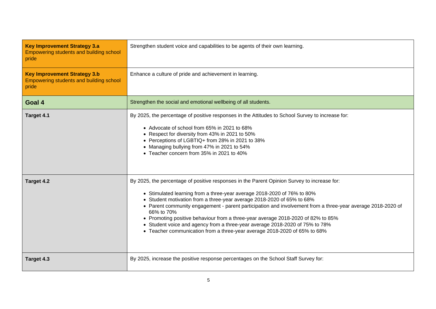| <b>Key Improvement Strategy 3.a</b><br><b>Empowering students and building school</b><br>pride | Strengthen student voice and capabilities to be agents of their own learning.                                                                                                                                                                                                                                                                                                                                                                                                                                                                                                                                                  |  |
|------------------------------------------------------------------------------------------------|--------------------------------------------------------------------------------------------------------------------------------------------------------------------------------------------------------------------------------------------------------------------------------------------------------------------------------------------------------------------------------------------------------------------------------------------------------------------------------------------------------------------------------------------------------------------------------------------------------------------------------|--|
| <b>Key Improvement Strategy 3.b</b><br><b>Empowering students and building school</b><br>pride | Enhance a culture of pride and achievement in learning.                                                                                                                                                                                                                                                                                                                                                                                                                                                                                                                                                                        |  |
| Goal 4                                                                                         | Strengthen the social and emotional wellbeing of all students.                                                                                                                                                                                                                                                                                                                                                                                                                                                                                                                                                                 |  |
| Target 4.1                                                                                     | By 2025, the percentage of positive responses in the Attitudes to School Survey to increase for:<br>• Advocate of school from 65% in 2021 to 68%<br>• Respect for diversity from 43% in 2021 to 50%<br>• Perceptions of LGBTIQ+ from 28% in 2021 to 38%<br>• Managing bullying from 47% in 2021 to 54%<br>• Teacher concern from 35% in 2021 to 40%                                                                                                                                                                                                                                                                            |  |
| Target 4.2                                                                                     | By 2025, the percentage of positive responses in the Parent Opinion Survey to increase for:<br>• Stimulated learning from a three-year average 2018-2020 of 76% to 80%<br>• Student motivation from a three-year average 2018-2020 of 65% to 68%<br>• Parent community engagement - parent participation and involvement from a three-year average 2018-2020 of<br>66% to 70%<br>• Promoting positive behaviour from a three-year average 2018-2020 of 82% to 85%<br>• Student voice and agency from a three-year average 2018-2020 of 75% to 78%<br>• Teacher communication from a three-year average 2018-2020 of 65% to 68% |  |
| Target 4.3                                                                                     | By 2025, increase the positive response percentages on the School Staff Survey for:                                                                                                                                                                                                                                                                                                                                                                                                                                                                                                                                            |  |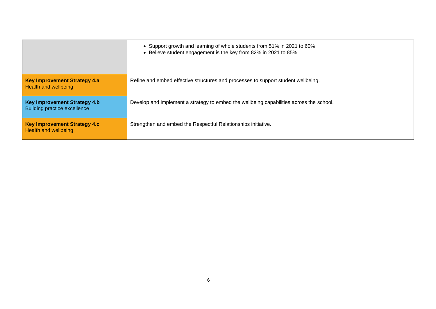|                                                                     | • Support growth and learning of whole students from 51% in 2021 to 60%<br>• Believe student engagement is the key from 82% in 2021 to 85% |
|---------------------------------------------------------------------|--------------------------------------------------------------------------------------------------------------------------------------------|
| <b>Key Improvement Strategy 4.a</b><br><b>Health and wellbeing</b>  | Refine and embed effective structures and processes to support student wellbeing.                                                          |
| <b>Key Improvement Strategy 4.b</b><br>Building practice excellence | Develop and implement a strategy to embed the wellbeing capabilities across the school.                                                    |
| <b>Key Improvement Strategy 4.c</b><br><b>Health and wellbeing</b>  | Strengthen and embed the Respectful Relationships initiative.                                                                              |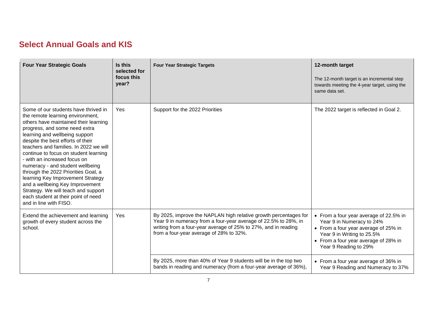#### **Select Annual Goals and KIS**

| <b>Four Year Strategic Goals</b>                                                                                                                                                                                                                                                                                                                                                                                                                                                                                                                                                                        | Is this<br>selected for<br>focus this<br>year? | <b>Four Year Strategic Targets</b>                                                                                                                                                                                                               | 12-month target<br>The 12-month target is an incremental step<br>towards meeting the 4-year target, using the<br>same data set.                                                                            |
|---------------------------------------------------------------------------------------------------------------------------------------------------------------------------------------------------------------------------------------------------------------------------------------------------------------------------------------------------------------------------------------------------------------------------------------------------------------------------------------------------------------------------------------------------------------------------------------------------------|------------------------------------------------|--------------------------------------------------------------------------------------------------------------------------------------------------------------------------------------------------------------------------------------------------|------------------------------------------------------------------------------------------------------------------------------------------------------------------------------------------------------------|
| Some of our students have thrived in<br>the remote learning environment,<br>others have maintained their learning<br>progress, and some need extra<br>learning and wellbeing support<br>despite the best efforts of their<br>teachers and families. In 2022 we will<br>continue to focus on student learning<br>- with an increased focus on<br>numeracy - and student wellbeing<br>through the 2022 Priorities Goal, a<br>learning Key Improvement Strategy<br>and a wellbeing Key Improvement<br>Strategy. We will teach and support<br>each student at their point of need<br>and in line with FISO. | Yes                                            | Support for the 2022 Priorities                                                                                                                                                                                                                  | The 2022 target is reflected in Goal 2.                                                                                                                                                                    |
| Extend the achievement and learning<br>growth of every student across the<br>school.                                                                                                                                                                                                                                                                                                                                                                                                                                                                                                                    | Yes                                            | By 2025, improve the NAPLAN high relative growth percentages for<br>Year 9 in numeracy from a four-year average of 22.5% to 28%, in<br>writing from a four-year average of 25% to 27%, and in reading<br>from a four-year average of 28% to 32%. | • From a four year average of 22.5% in<br>Year 9 in Numeracy to 24%<br>• From a four year average of 25% in<br>Year 9 in Writing to 25.5%<br>• From a four year average of 28% in<br>Year 9 Reading to 29% |
|                                                                                                                                                                                                                                                                                                                                                                                                                                                                                                                                                                                                         |                                                | By 2025, more than 40% of Year 9 students will be in the top two<br>bands in reading and numeracy (from a four-year average of 36%),                                                                                                             | • From a four year average of 36% in<br>Year 9 Reading and Numeracy to 37%                                                                                                                                 |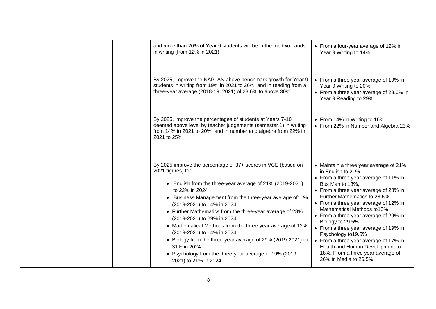| and more than 20% of Year 9 students will be in the top two bands<br>in writing (from 12% in 2021).                                                                                                                                                                                                                                                                                                                                                                                                                                                                                                              | • From a four-year average of 12% in<br>Year 9 Writing to 14%                                                                                                                                                                                                                                                                                                                                                                                                                                                                                  |
|------------------------------------------------------------------------------------------------------------------------------------------------------------------------------------------------------------------------------------------------------------------------------------------------------------------------------------------------------------------------------------------------------------------------------------------------------------------------------------------------------------------------------------------------------------------------------------------------------------------|------------------------------------------------------------------------------------------------------------------------------------------------------------------------------------------------------------------------------------------------------------------------------------------------------------------------------------------------------------------------------------------------------------------------------------------------------------------------------------------------------------------------------------------------|
| By 2025, improve the NAPLAN above benchmark growth for Year 9<br>students in writing from 19% in 2021 to 26%, and in reading from a<br>three-year average (2018-19, 2021) of 28.6% to above 30%.                                                                                                                                                                                                                                                                                                                                                                                                                 | • From a three year average of 19% in<br>Year 9 Writing to 20%<br>• From a three year average of 28.6% in<br>Year 9 Reading to 29%                                                                                                                                                                                                                                                                                                                                                                                                             |
| By 2025, improve the percentages of students at Years 7-10<br>deemed above level by teacher judgements (semester 1) in writing<br>from 14% in 2021 to 20%, and in number and algebra from 22% in<br>2021 to 25%                                                                                                                                                                                                                                                                                                                                                                                                  | • From 14% in Writing to 16%<br>• From 22% in Number and Algebra 23%                                                                                                                                                                                                                                                                                                                                                                                                                                                                           |
| By 2025 improve the percentage of 37+ scores in VCE (based on<br>2021 figures) for:<br>• English from the three-year average of 21% (2019-2021)<br>to 22% in 2024<br>• Business Management from the three-year average of 11%<br>(2019-2021) to 14% in 2024<br>• Further Mathematics from the three-year average of 28%<br>(2019-2021) to 29% in 2024<br>• Mathematical Methods from the three-year average of 12%<br>(2019-2021) to 14% in 2024<br>• Biology from the three-year average of 29% (2019-2021) to<br>31% in 2024<br>• Psychology from the three-year average of 19% (2019-<br>2021) to 21% in 2024 | • Maintain a three year average of 21%<br>in English to 21%<br>• From a three year average of 11% in<br>Bus Man to 13%,<br>• From a three year average of 28% in<br>Further Mathematics to 28.5%<br>• From a three year average of 12% in<br>Mathematical Methods to13%<br>• From a three year average of 29% in<br>Biology to 29.5%<br>• From a three year average of 19% in<br>Psychology to 19.5%<br>• From a three year average of 17% in<br>Health and Human Development to<br>18%, From a three year average of<br>26% in Media to 26.5% |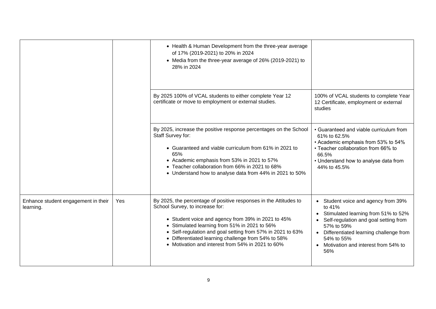|                                                  |     | • Health & Human Development from the three-year average<br>of 17% (2019-2021) to 20% in 2024<br>• Media from the three-year average of 26% (2019-2021) to<br>28% in 2024                                                                                                                                                                                                             |                                                                                                                                                                                                                                                   |
|--------------------------------------------------|-----|---------------------------------------------------------------------------------------------------------------------------------------------------------------------------------------------------------------------------------------------------------------------------------------------------------------------------------------------------------------------------------------|---------------------------------------------------------------------------------------------------------------------------------------------------------------------------------------------------------------------------------------------------|
|                                                  |     | By 2025 100% of VCAL students to either complete Year 12<br>certificate or move to employment or external studies.                                                                                                                                                                                                                                                                    | 100% of VCAL students to complete Year<br>12 Certificate, employment or external<br>studies                                                                                                                                                       |
|                                                  |     | By 2025, increase the positive response percentages on the School<br>Staff Survey for:<br>• Guaranteed and viable curriculum from 61% in 2021 to<br>65%<br>• Academic emphasis from 53% in 2021 to 57%<br>• Teacher collaboration from 66% in 2021 to 68%<br>• Understand how to analyse data from 44% in 2021 to 50%                                                                 | • Guaranteed and viable curriculum from<br>61% to 62.5%<br>• Academic emphasis from 53% to 54%<br>• Teacher collaboration from 66% to<br>66.5%<br>• Understand how to analyse data from<br>44% to 45.5%                                           |
| Enhance student engagement in their<br>learning. | Yes | By 2025, the percentage of positive responses in the Attitudes to<br>School Survey, to increase for:<br>• Student voice and agency from 39% in 2021 to 45%<br>• Stimulated learning from 51% in 2021 to 56%<br>• Self-regulation and goal setting from 57% in 2021 to 63%<br>• Differentiated learning challenge from 54% to 58%<br>• Motivation and interest from 54% in 2021 to 60% | • Student voice and agency from 39%<br>to 41%<br>Stimulated learning from 51% to 52%<br>Self-regulation and goal setting from<br>57% to 59%<br>Differentiated learning challenge from<br>54% to 55%<br>Motivation and interest from 54% to<br>56% |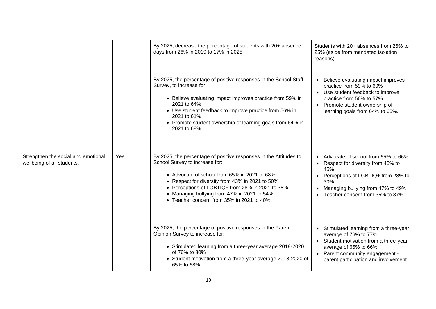|                                                                   |     | By 2025, decrease the percentage of students with 20+ absence<br>days from 26% in 2019 to 17% in 2025.                                                                                                                                                                                                                                                 | Students with 20+ absences from 26% to<br>25% (aside from mandated isolation<br>reasons)                                                                                                                                                |  |
|-------------------------------------------------------------------|-----|--------------------------------------------------------------------------------------------------------------------------------------------------------------------------------------------------------------------------------------------------------------------------------------------------------------------------------------------------------|-----------------------------------------------------------------------------------------------------------------------------------------------------------------------------------------------------------------------------------------|--|
|                                                                   |     | By 2025, the percentage of positive responses in the School Staff<br>Survey, to increase for:<br>• Believe evaluating impact improves practice from 59% in<br>2021 to 64%<br>• Use student feedback to improve practice from 56% in<br>2021 to 61%<br>• Promote student ownership of learning goals from 64% in<br>2021 to 68%.                        | Believe evaluating impact improves<br>$\bullet$<br>practice from 59% to 60%<br>Use student feedback to improve<br>$\bullet$<br>practice from 56% to 57%<br>Promote student ownership of<br>$\bullet$<br>learning goals from 64% to 65%. |  |
| Strengthen the social and emotional<br>wellbeing of all students. | Yes | By 2025, the percentage of positive responses in the Attitudes to<br>School Survey to increase for:<br>• Advocate of school from 65% in 2021 to 68%<br>• Respect for diversity from 43% in 2021 to 50%<br>• Perceptions of LGBTIQ+ from 28% in 2021 to 38%<br>• Managing bullying from 47% in 2021 to 54%<br>• Teacher concern from 35% in 2021 to 40% | Advocate of school from 65% to 66%<br>$\bullet$<br>Respect for diversity from 43% to<br>$\bullet$<br>45%<br>Perceptions of LGBTIQ+ from 28% to<br>30%<br>Managing bullying from 47% to 49%<br>Teacher concern from 35% to 37%           |  |
|                                                                   |     | By 2025, the percentage of positive responses in the Parent<br>Opinion Survey to increase for:<br>• Stimulated learning from a three-year average 2018-2020<br>of 76% to 80%<br>• Student motivation from a three-year average 2018-2020 of<br>65% to 68%                                                                                              | • Stimulated learning from a three-year<br>average of 76% to 77%<br>• Student motivation from a three-year<br>average of 65% to 66%<br>Parent community engagement -<br>$\bullet$<br>parent participation and involvement               |  |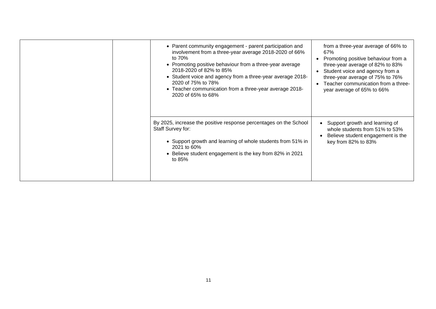|  | • Parent community engagement - parent participation and<br>involvement from a three-year average 2018-2020 of 66%<br>to 70%<br>• Promoting positive behaviour from a three-year average<br>2018-2020 of 82% to 85%<br>• Student voice and agency from a three-year average 2018-<br>2020 of 75% to 78%<br>• Teacher communication from a three-year average 2018-<br>2020 of 65% to 68% | from a three-year average of 66% to<br>67%<br>Promoting positive behaviour from a<br>three-year average of 82% to 83%<br>Student voice and agency from a<br>three-year average of 75% to 76%<br>Teacher communication from a three-<br>$\bullet$<br>year average of 65% to 66% |
|--|------------------------------------------------------------------------------------------------------------------------------------------------------------------------------------------------------------------------------------------------------------------------------------------------------------------------------------------------------------------------------------------|--------------------------------------------------------------------------------------------------------------------------------------------------------------------------------------------------------------------------------------------------------------------------------|
|  | By 2025, increase the positive response percentages on the School<br>Staff Survey for:<br>• Support growth and learning of whole students from 51% in<br>2021 to 60%<br>• Believe student engagement is the key from 82% in 2021<br>to 85%                                                                                                                                               | Support growth and learning of<br>whole students from 51% to 53%<br>Believe student engagement is the<br>key from 82% to 83%                                                                                                                                                   |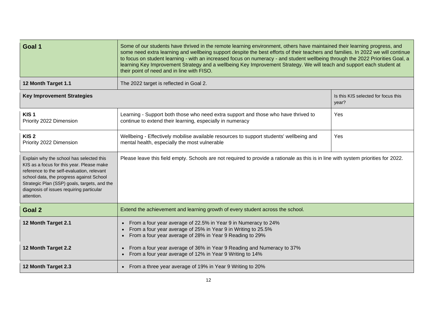| Goal 1                                                                                                                                                                                                                                                                                    | Some of our students have thrived in the remote learning environment, others have maintained their learning progress, and<br>some need extra learning and wellbeing support despite the best efforts of their teachers and families. In 2022 we will continue<br>to focus on student learning - with an increased focus on numeracy - and student wellbeing through the 2022 Priorities Goal, a<br>learning Key Improvement Strategy and a wellbeing Key Improvement Strategy. We will teach and support each student at<br>their point of need and in line with FISO. |                                              |  |  |
|-------------------------------------------------------------------------------------------------------------------------------------------------------------------------------------------------------------------------------------------------------------------------------------------|------------------------------------------------------------------------------------------------------------------------------------------------------------------------------------------------------------------------------------------------------------------------------------------------------------------------------------------------------------------------------------------------------------------------------------------------------------------------------------------------------------------------------------------------------------------------|----------------------------------------------|--|--|
| 12 Month Target 1.1                                                                                                                                                                                                                                                                       | The 2022 target is reflected in Goal 2.                                                                                                                                                                                                                                                                                                                                                                                                                                                                                                                                |                                              |  |  |
| <b>Key Improvement Strategies</b>                                                                                                                                                                                                                                                         |                                                                                                                                                                                                                                                                                                                                                                                                                                                                                                                                                                        | Is this KIS selected for focus this<br>year? |  |  |
| KIS <sub>1</sub><br>Priority 2022 Dimension                                                                                                                                                                                                                                               | Learning - Support both those who need extra support and those who have thrived to<br>continue to extend their learning, especially in numeracy                                                                                                                                                                                                                                                                                                                                                                                                                        | Yes                                          |  |  |
| KIS <sub>2</sub><br>Priority 2022 Dimension                                                                                                                                                                                                                                               | Wellbeing - Effectively mobilise available resources to support students' wellbeing and<br>mental health, especially the most vulnerable                                                                                                                                                                                                                                                                                                                                                                                                                               | Yes                                          |  |  |
| Explain why the school has selected this<br>KIS as a focus for this year. Please make<br>reference to the self-evaluation, relevant<br>school data, the progress against School<br>Strategic Plan (SSP) goals, targets, and the<br>diagnosis of issues requiring particular<br>attention. | Please leave this field empty. Schools are not required to provide a rationale as this is in line with system priorities for 2022.                                                                                                                                                                                                                                                                                                                                                                                                                                     |                                              |  |  |
| Goal 2                                                                                                                                                                                                                                                                                    | Extend the achievement and learning growth of every student across the school.                                                                                                                                                                                                                                                                                                                                                                                                                                                                                         |                                              |  |  |
| 12 Month Target 2.1                                                                                                                                                                                                                                                                       | From a four year average of 22.5% in Year 9 in Numeracy to 24%<br>$\bullet$<br>From a four year average of 25% in Year 9 in Writing to 25.5%<br>$\bullet$<br>From a four year average of 28% in Year 9 Reading to 29%<br>$\bullet$                                                                                                                                                                                                                                                                                                                                     |                                              |  |  |
| 12 Month Target 2.2                                                                                                                                                                                                                                                                       | From a four year average of 36% in Year 9 Reading and Numeracy to 37%<br>$\bullet$<br>From a four year average of 12% in Year 9 Writing to 14%<br>$\bullet$                                                                                                                                                                                                                                                                                                                                                                                                            |                                              |  |  |
| 12 Month Target 2.3                                                                                                                                                                                                                                                                       | • From a three year average of 19% in Year 9 Writing to 20%                                                                                                                                                                                                                                                                                                                                                                                                                                                                                                            |                                              |  |  |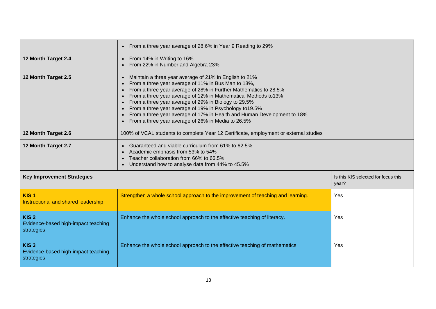|                                                                       | From a three year average of 28.6% in Year 9 Reading to 29%<br>$\bullet$                                                                                                                                                                                                                                                                                                                                                                                                                                             |                                              |
|-----------------------------------------------------------------------|----------------------------------------------------------------------------------------------------------------------------------------------------------------------------------------------------------------------------------------------------------------------------------------------------------------------------------------------------------------------------------------------------------------------------------------------------------------------------------------------------------------------|----------------------------------------------|
| 12 Month Target 2.4                                                   | From 14% in Writing to 16%<br>$\bullet$<br>From 22% in Number and Algebra 23%                                                                                                                                                                                                                                                                                                                                                                                                                                        |                                              |
| 12 Month Target 2.5                                                   | Maintain a three year average of 21% in English to 21%<br>$\bullet$<br>From a three year average of 11% in Bus Man to 13%,<br>From a three year average of 28% in Further Mathematics to 28.5%<br>From a three year average of 12% in Mathematical Methods to13%<br>From a three year average of 29% in Biology to 29.5%<br>From a three year average of 19% in Psychology to 19.5%<br>From a three year average of 17% in Health and Human Development to 18%<br>From a three year average of 26% in Media to 26.5% |                                              |
| 12 Month Target 2.6                                                   | 100% of VCAL students to complete Year 12 Certificate, employment or external studies                                                                                                                                                                                                                                                                                                                                                                                                                                |                                              |
| 12 Month Target 2.7                                                   | Guaranteed and viable curriculum from 61% to 62.5%<br>Academic emphasis from 53% to 54%<br>Teacher collaboration from 66% to 66.5%<br>Understand how to analyse data from 44% to 45.5%                                                                                                                                                                                                                                                                                                                               |                                              |
| <b>Key Improvement Strategies</b>                                     |                                                                                                                                                                                                                                                                                                                                                                                                                                                                                                                      | Is this KIS selected for focus this<br>year? |
| KIS <sub>1</sub><br>Instructional and shared leadership               | Strengthen a whole school approach to the improvement of teaching and learning.                                                                                                                                                                                                                                                                                                                                                                                                                                      | Yes                                          |
| KIS <sub>2</sub><br>Evidence-based high-impact teaching<br>strategies | Enhance the whole school approach to the effective teaching of literacy.                                                                                                                                                                                                                                                                                                                                                                                                                                             | Yes                                          |
| KIS <sub>3</sub><br>Evidence-based high-impact teaching<br>strategies | Enhance the whole school approach to the effective teaching of mathematics                                                                                                                                                                                                                                                                                                                                                                                                                                           | Yes                                          |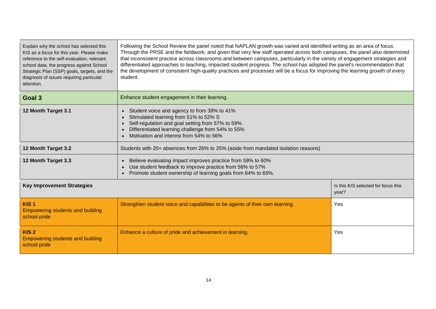| Explain why the school has selected this<br>KIS as a focus for this year. Please make<br>reference to the self-evaluation, relevant<br>school data, the progress against School<br>Strategic Plan (SSP) goals, targets, and the<br>diagnosis of issues requiring particular<br>attention. | Following the School Review the panel noted that NAPLAN growth was varied and identified writing as an area of focus.<br>Through the PRSE and the fieldwork, and given that very few staff operated across both campuses, the panel also determined<br>that inconsistent practice across classrooms and between campuses, particularly in the variety of engagement strategies and<br>differentiated approaches to teaching, impacted student progress. The school has adopted the panel's recommendation that<br>the development of consistent high-quality practices and processes will be a focus for improving the learning growth of every<br>student. |  |  |  |  |
|-------------------------------------------------------------------------------------------------------------------------------------------------------------------------------------------------------------------------------------------------------------------------------------------|-------------------------------------------------------------------------------------------------------------------------------------------------------------------------------------------------------------------------------------------------------------------------------------------------------------------------------------------------------------------------------------------------------------------------------------------------------------------------------------------------------------------------------------------------------------------------------------------------------------------------------------------------------------|--|--|--|--|
| Goal 3                                                                                                                                                                                                                                                                                    | Enhance student engagement in their learning.                                                                                                                                                                                                                                                                                                                                                                                                                                                                                                                                                                                                               |  |  |  |  |
| 12 Month Target 3.1                                                                                                                                                                                                                                                                       | Student voice and agency to from 39% to 41%<br>$\bullet$<br>Stimulated learning from 51% to 52% S<br>Self-regulation and goal setting from 57% to 59%<br>Differentiated learning challenge from 54% to 55%<br>Motivation and interest from 54% to 56%                                                                                                                                                                                                                                                                                                                                                                                                       |  |  |  |  |
| 12 Month Target 3.2                                                                                                                                                                                                                                                                       | Students with 20+ absences from 26% to 25% (aside from mandated isolation reasons)                                                                                                                                                                                                                                                                                                                                                                                                                                                                                                                                                                          |  |  |  |  |
| 12 Month Target 3.3                                                                                                                                                                                                                                                                       | Believe evaluating impact improves practice from 59% to 60%<br>$\bullet$<br>Use student feedback to improve practice from 56% to 57%<br>$\bullet$<br>Promote student ownership of learning goals from 64% to 65%.<br>$\bullet$                                                                                                                                                                                                                                                                                                                                                                                                                              |  |  |  |  |
| <b>Key Improvement Strategies</b>                                                                                                                                                                                                                                                         | Is this KIS selected for focus this<br>year?                                                                                                                                                                                                                                                                                                                                                                                                                                                                                                                                                                                                                |  |  |  |  |
| KIS <sub>1</sub><br><b>Empowering students and building</b><br>school pride                                                                                                                                                                                                               | Strengthen student voice and capabilities to be agents of their own learning.<br>Yes                                                                                                                                                                                                                                                                                                                                                                                                                                                                                                                                                                        |  |  |  |  |
| KIS <sub>2</sub><br><b>Empowering students and building</b><br>school pride                                                                                                                                                                                                               | Enhance a culture of pride and achievement in learning.<br>Yes                                                                                                                                                                                                                                                                                                                                                                                                                                                                                                                                                                                              |  |  |  |  |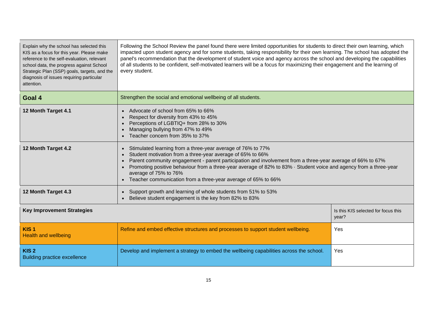| Explain why the school has selected this<br>KIS as a focus for this year. Please make<br>reference to the self-evaluation, relevant<br>school data, the progress against School<br>Strategic Plan (SSP) goals, targets, and the<br>diagnosis of issues requiring particular<br>attention. | Following the School Review the panel found there were limited opportunities for students to direct their own learning, which<br>impacted upon student agency and for some students, taking responsibility for their own learning. The school has adopted the<br>panel's recommendation that the development of student voice and agency across the school and developing the capabilities<br>of all students to be confident, self-motivated learners will be a focus for maximizing their engagement and the learning of<br>every student. |                                     |  |  |
|-------------------------------------------------------------------------------------------------------------------------------------------------------------------------------------------------------------------------------------------------------------------------------------------|----------------------------------------------------------------------------------------------------------------------------------------------------------------------------------------------------------------------------------------------------------------------------------------------------------------------------------------------------------------------------------------------------------------------------------------------------------------------------------------------------------------------------------------------|-------------------------------------|--|--|
| Goal 4                                                                                                                                                                                                                                                                                    | Strengthen the social and emotional wellbeing of all students.                                                                                                                                                                                                                                                                                                                                                                                                                                                                               |                                     |  |  |
| 12 Month Target 4.1                                                                                                                                                                                                                                                                       | Advocate of school from 65% to 66%<br>Respect for diversity from 43% to 45%<br>Perceptions of LGBTIQ+ from 28% to 30%<br>Managing bullying from 47% to 49%<br>Teacher concern from 35% to 37%                                                                                                                                                                                                                                                                                                                                                |                                     |  |  |
| 12 Month Target 4.2                                                                                                                                                                                                                                                                       | Stimulated learning from a three-year average of 76% to 77%<br>Student motivation from a three-year average of 65% to 66%<br>Parent community engagement - parent participation and involvement from a three-year average of 66% to 67%<br>Promoting positive behaviour from a three-year average of 82% to 83% · Student voice and agency from a three-year<br>average of 75% to 76%<br>Teacher communication from a three-year average of 65% to 66%                                                                                       |                                     |  |  |
| 12 Month Target 4.3                                                                                                                                                                                                                                                                       | Support growth and learning of whole students from 51% to 53%<br>Believe student engagement is the key from 82% to 83%                                                                                                                                                                                                                                                                                                                                                                                                                       |                                     |  |  |
| <b>Key Improvement Strategies</b><br>year?                                                                                                                                                                                                                                                |                                                                                                                                                                                                                                                                                                                                                                                                                                                                                                                                              | Is this KIS selected for focus this |  |  |
| KIS <sub>1</sub><br><b>Health and wellbeing</b>                                                                                                                                                                                                                                           | Refine and embed effective structures and processes to support student wellbeing.                                                                                                                                                                                                                                                                                                                                                                                                                                                            | Yes                                 |  |  |
| KIS <sub>2</sub><br><b>Building practice excellence</b>                                                                                                                                                                                                                                   | Develop and implement a strategy to embed the wellbeing capabilities across the school.<br>Yes                                                                                                                                                                                                                                                                                                                                                                                                                                               |                                     |  |  |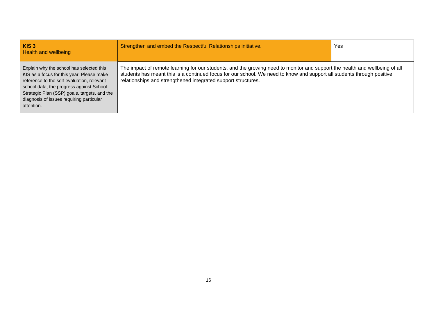| KIS <sub>3</sub><br><b>Health and wellbeing</b>                                                                                                                                                                                                                                           | Strengthen and embed the Respectful Relationships initiative.                                                                                                                                                                                                                                                          | Yes |
|-------------------------------------------------------------------------------------------------------------------------------------------------------------------------------------------------------------------------------------------------------------------------------------------|------------------------------------------------------------------------------------------------------------------------------------------------------------------------------------------------------------------------------------------------------------------------------------------------------------------------|-----|
| Explain why the school has selected this<br>KIS as a focus for this year. Please make<br>reference to the self-evaluation, relevant<br>school data, the progress against School<br>Strategic Plan (SSP) goals, targets, and the<br>diagnosis of issues requiring particular<br>attention. | The impact of remote learning for our students, and the growing need to monitor and support the health and wellbeing of all<br>students has meant this is a continued focus for our school. We need to know and support all students through positive<br>relationships and strengthened integrated support structures. |     |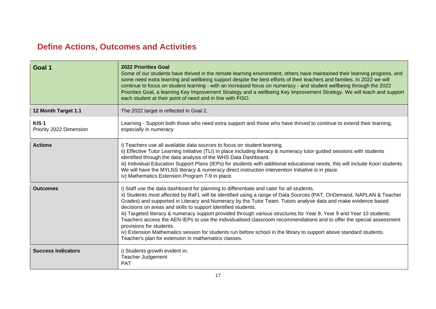### **Define Actions, Outcomes and Activities**

| Goal 1                                      | <b>2022 Priorities Goal</b><br>Some of our students have thrived in the remote learning environment, others have maintained their learning progress, and<br>some need extra learning and wellbeing support despite the best efforts of their teachers and families. In 2022 we will<br>continue to focus on student learning - with an increased focus on numeracy - and student wellbeing through the 2022<br>Priorities Goal, a learning Key Improvement Strategy and a wellbeing Key Improvement Strategy. We will teach and support<br>each student at their point of need and in line with FISO.                                                                                                                                                                                                                                                            |
|---------------------------------------------|------------------------------------------------------------------------------------------------------------------------------------------------------------------------------------------------------------------------------------------------------------------------------------------------------------------------------------------------------------------------------------------------------------------------------------------------------------------------------------------------------------------------------------------------------------------------------------------------------------------------------------------------------------------------------------------------------------------------------------------------------------------------------------------------------------------------------------------------------------------|
| 12 Month Target 1.1                         | The 2022 target is reflected in Goal 2.                                                                                                                                                                                                                                                                                                                                                                                                                                                                                                                                                                                                                                                                                                                                                                                                                          |
| KIS <sub>1</sub><br>Priority 2022 Dimension | Learning - Support both those who need extra support and those who have thrived to continue to extend their learning,<br>especially in numeracy                                                                                                                                                                                                                                                                                                                                                                                                                                                                                                                                                                                                                                                                                                                  |
| <b>Actions</b>                              | i) Teachers use all available data sources to focus on student learning.<br>ii) Effective Tutor Learning Initiative (TLI) in place including literacy & numeracy tutor guided sessions with students<br>identified through the data analysis of the WHS Data Dashboard.<br>iii) Individual Education Support Plans (IEPs) for students with additional educational needs, this will include Koori students.<br>We will have the MYLNS literacy & numeracy direct instruction intervention Initiative is in place.<br>iv) Mathematics Extension Program 7-9 in place.                                                                                                                                                                                                                                                                                             |
| <b>Outcomes</b>                             | i) Staff use the data dashboard for planning to differentiate and cater for all students.<br>ii) Students most affected by RaFL will be identified using a range of Data Sources (PAT, OnDemand, NAPLAN & Teacher<br>Grades) and supported in Literacy and Numeracy by the Tutor Team. Tutors analyse data and make evidence based<br>decisions on areas and skills to support identified students.<br>iii) Targeted literacy & numeracy support provided through various structures for Year 8, Year 9 and Year 10 students.<br>Teachers access the AEN IEPs to use the individualised classroom recommendations and to offer the special assessment<br>provisions for students.<br>iv) Extension Mathematics session for students run before school in the library to support above standard students.<br>Teacher's plan for extension in mathematics classes. |
| <b>Success Indicators</b>                   | i) Students growth evident in;<br><b>Teacher Judgement</b><br><b>PAT</b>                                                                                                                                                                                                                                                                                                                                                                                                                                                                                                                                                                                                                                                                                                                                                                                         |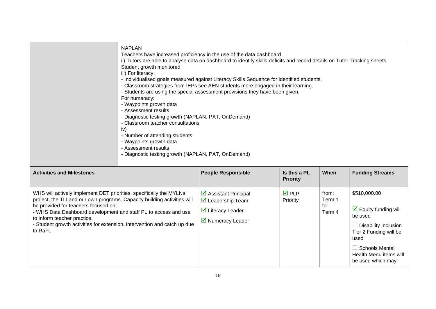|                                                                                                                                                                                                                                                                                                                                                                                  | <b>NAPLAN</b><br>Teachers have increased proficiency in the use of the data dashboard<br>ii) Tutors are able to analyse data on dashboard to identify skills deficits and record details on Tutor Tracking sheets.<br>Student growth monitored.<br>iii) For literacy:<br>- Individualised goals measured against Literacy Skills Sequence for identified students.<br>- Classroom strategies from IEPs see AEN students more engaged in their learning.<br>- Students are using the special assessment provisions they have been given.<br>For numeracy:<br>- Waypoints growth data<br>- Assessment results<br>- Diagnostic testing growth (NAPLAN, PAT, OnDemand)<br>- Classroom teacher consultations<br>iv)<br>- Number of attending students<br>- Waypoints growth data<br>- Assessment results<br>- Diagnostic testing growth (NAPLAN, PAT, OnDemand) |                                                                                                          |                                 |                                  |                                                                                                                                                                                                          |
|----------------------------------------------------------------------------------------------------------------------------------------------------------------------------------------------------------------------------------------------------------------------------------------------------------------------------------------------------------------------------------|------------------------------------------------------------------------------------------------------------------------------------------------------------------------------------------------------------------------------------------------------------------------------------------------------------------------------------------------------------------------------------------------------------------------------------------------------------------------------------------------------------------------------------------------------------------------------------------------------------------------------------------------------------------------------------------------------------------------------------------------------------------------------------------------------------------------------------------------------------|----------------------------------------------------------------------------------------------------------|---------------------------------|----------------------------------|----------------------------------------------------------------------------------------------------------------------------------------------------------------------------------------------------------|
| <b>Activities and Milestones</b>                                                                                                                                                                                                                                                                                                                                                 |                                                                                                                                                                                                                                                                                                                                                                                                                                                                                                                                                                                                                                                                                                                                                                                                                                                            | <b>People Responsible</b>                                                                                | Is this a PL<br><b>Priority</b> | When                             | <b>Funding Streams</b>                                                                                                                                                                                   |
| WHS will actively implement DET priorities, specifically the MYLNs<br>project, the TLI and our own programs. Capacity building activities will<br>be provided for teachers focused on;<br>- WHS Data Dashboard development and staff PL to access and use<br>to inform teacher practice.<br>- Student growth activities for extension, intervention and catch up due<br>to RaFL. |                                                                                                                                                                                                                                                                                                                                                                                                                                                                                                                                                                                                                                                                                                                                                                                                                                                            | ☑ Assistant Principal<br>$\boxtimes$ Leadership Team<br>$\boxtimes$ Literacy Leader<br>■ Numeracy Leader | <b>☑</b> PLP<br>Priority        | from:<br>Term 1<br>to:<br>Term 4 | \$510,000.00<br>$\triangleright$ Equity funding will<br>be used<br>$\Box$ Disability Inclusion<br>Tier 2 Funding will be<br>used<br>$\Box$ Schools Mental<br>Health Menu items will<br>be used which may |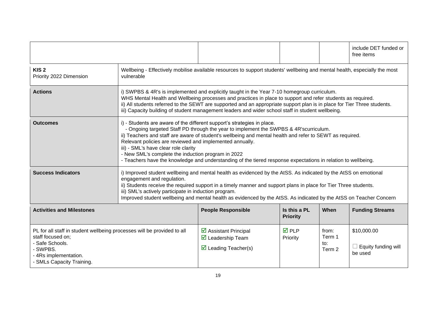|                                                                                                                                                                                   |                                                                                                                                                                                                                                                                                                                                                                                                                                                  |                                                                                                                                                                                                                                                                                                                                                                                                                                                                                                                 |                                 |                                  | include DET funded or<br>free items                  |
|-----------------------------------------------------------------------------------------------------------------------------------------------------------------------------------|--------------------------------------------------------------------------------------------------------------------------------------------------------------------------------------------------------------------------------------------------------------------------------------------------------------------------------------------------------------------------------------------------------------------------------------------------|-----------------------------------------------------------------------------------------------------------------------------------------------------------------------------------------------------------------------------------------------------------------------------------------------------------------------------------------------------------------------------------------------------------------------------------------------------------------------------------------------------------------|---------------------------------|----------------------------------|------------------------------------------------------|
| KIS <sub>2</sub><br>Priority 2022 Dimension                                                                                                                                       | vulnerable                                                                                                                                                                                                                                                                                                                                                                                                                                       | Wellbeing - Effectively mobilise available resources to support students' wellbeing and mental health, especially the most                                                                                                                                                                                                                                                                                                                                                                                      |                                 |                                  |                                                      |
| <b>Actions</b>                                                                                                                                                                    |                                                                                                                                                                                                                                                                                                                                                                                                                                                  | i) SWPBS & 4R's is implemented and explicitly taught in the Year 7-10 homegroup curriculum.<br>WHS Mental Health and Wellbeing processes and practices in place to support and refer students as required.<br>ii) All students referred to the SEWT are supported and an appropriate support plan is in place for Tier Three students.<br>iii) Capacity building of student management leaders and wider school staff in student wellbeing.                                                                     |                                 |                                  |                                                      |
| <b>Outcomes</b>                                                                                                                                                                   | iii) - SML's have clear role clarity                                                                                                                                                                                                                                                                                                                                                                                                             | i) - Students are aware of the different support's strategies in place.<br>- Ongoing targeted Staff PD through the year to implement the SWPBS & 4R'scurriculum.<br>ii) Teachers and staff are aware of student's wellbeing and mental health and refer to SEWT as required.<br>Relevant policies are reviewed and implemented annually.<br>- New SML's complete the induction program in 2022<br>- Teachers have the knowledge and understanding of the tiered response expectations in relation to wellbeing. |                                 |                                  |                                                      |
| <b>Success Indicators</b>                                                                                                                                                         | i) Improved student wellbeing and mental health as evidenced by the AtSS. As indicated by the AtSS on emotional<br>engagement and regulation.<br>ii) Students receive the required support in a timely manner and support plans in place for Tier Three students.<br>iii) SML's actively participate in induction program.<br>Improved student wellbeing and mental health as evidenced by the AtSS. As indicated by the AtSS on Teacher Concern |                                                                                                                                                                                                                                                                                                                                                                                                                                                                                                                 |                                 |                                  |                                                      |
| <b>Activities and Milestones</b>                                                                                                                                                  |                                                                                                                                                                                                                                                                                                                                                                                                                                                  | <b>People Responsible</b>                                                                                                                                                                                                                                                                                                                                                                                                                                                                                       | Is this a PL<br><b>Priority</b> | When                             | <b>Funding Streams</b>                               |
| PL for all staff in student wellbeing processes will be provided to all<br>staff focused on:<br>- Safe Schools.<br>- SWPBS.<br>- 4Rs implementation.<br>- SMLs Capacity Training. |                                                                                                                                                                                                                                                                                                                                                                                                                                                  | ☑ Assistant Principal<br>$\triangledown$ Leadership Team<br>$\triangleright$ Leading Teacher(s)                                                                                                                                                                                                                                                                                                                                                                                                                 | $\overline{M}$ PLP<br>Priority  | from:<br>Term 1<br>to:<br>Term 2 | \$10,000.00<br>$\Box$ Equity funding will<br>be used |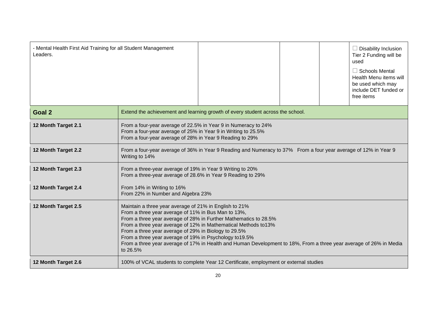| - Mental Health First Aid Training for all Student Management<br>Leaders. |                                                                                                                                                                                                                                              |                                                                                                                                                                                                                                                           |  |  | $\Box$ Disability Inclusion<br>Tier 2 Funding will be<br>used<br>$\Box$ Schools Mental<br>Health Menu items will<br>be used which may<br>include DET funded or<br>free items |
|---------------------------------------------------------------------------|----------------------------------------------------------------------------------------------------------------------------------------------------------------------------------------------------------------------------------------------|-----------------------------------------------------------------------------------------------------------------------------------------------------------------------------------------------------------------------------------------------------------|--|--|------------------------------------------------------------------------------------------------------------------------------------------------------------------------------|
| Goal 2                                                                    |                                                                                                                                                                                                                                              | Extend the achievement and learning growth of every student across the school.                                                                                                                                                                            |  |  |                                                                                                                                                                              |
| 12 Month Target 2.1                                                       | From a four-year average of 22.5% in Year 9 in Numeracy to 24%<br>From a four-year average of 25% in Year 9 in Writing to 25.5%<br>From a four-year average of 28% in Year 9 Reading to 29%                                                  |                                                                                                                                                                                                                                                           |  |  |                                                                                                                                                                              |
| 12 Month Target 2.2                                                       | From a four-year average of 36% in Year 9 Reading and Numeracy to 37% From a four year average of 12% in Year 9<br>Writing to 14%                                                                                                            |                                                                                                                                                                                                                                                           |  |  |                                                                                                                                                                              |
| 12 Month Target 2.3                                                       | From a three-year average of 19% in Year 9 Writing to 20%<br>From a three-year average of 28.6% in Year 9 Reading to 29%                                                                                                                     |                                                                                                                                                                                                                                                           |  |  |                                                                                                                                                                              |
| 12 Month Target 2.4                                                       | From 14% in Writing to 16%<br>From 22% in Number and Algebra 23%                                                                                                                                                                             |                                                                                                                                                                                                                                                           |  |  |                                                                                                                                                                              |
| 12 Month Target 2.5                                                       | Maintain a three year average of 21% in English to 21%<br>From a three year average of 11% in Bus Man to 13%,<br>From a three year average of 29% in Biology to 29.5%<br>From a three year average of 19% in Psychology to 19.5%<br>to 26.5% | From a three year average of 28% in Further Mathematics to 28.5%<br>From a three year average of 12% in Mathematical Methods to 13%<br>From a three year average of 17% in Health and Human Development to 18%, From a three year average of 26% in Media |  |  |                                                                                                                                                                              |
| 12 Month Target 2.6                                                       | 100% of VCAL students to complete Year 12 Certificate, employment or external studies                                                                                                                                                        |                                                                                                                                                                                                                                                           |  |  |                                                                                                                                                                              |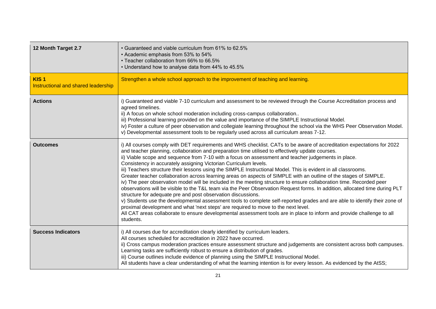| 12 Month Target 2.7                                     | • Guaranteed and viable curriculum from 61% to 62.5%<br>• Academic emphasis from 53% to 54%<br>• Teacher collaboration from 66% to 66.5%<br>• Understand how to analyse data from 44% to 45.5%                                                                                                                                                                                                                                                                                                                                                                                                                                                                                                                                                                                                                                                                                                                                                                                                                                                                                                                                                                                                                                                                                                                                 |
|---------------------------------------------------------|--------------------------------------------------------------------------------------------------------------------------------------------------------------------------------------------------------------------------------------------------------------------------------------------------------------------------------------------------------------------------------------------------------------------------------------------------------------------------------------------------------------------------------------------------------------------------------------------------------------------------------------------------------------------------------------------------------------------------------------------------------------------------------------------------------------------------------------------------------------------------------------------------------------------------------------------------------------------------------------------------------------------------------------------------------------------------------------------------------------------------------------------------------------------------------------------------------------------------------------------------------------------------------------------------------------------------------|
| KIS <sub>1</sub><br>Instructional and shared leadership | Strengthen a whole school approach to the improvement of teaching and learning.                                                                                                                                                                                                                                                                                                                                                                                                                                                                                                                                                                                                                                                                                                                                                                                                                                                                                                                                                                                                                                                                                                                                                                                                                                                |
| <b>Actions</b>                                          | i) Guaranteed and viable 7-10 curriculum and assessment to be reviewed through the Course Accreditation process and<br>agreed timelines.<br>ii) A focus on whole school moderation including cross-campus collaboration<br>iii) Professional learning provided on the value and importance of the SIMPLE Instructional Model.<br>iv) Foster a culture of peer observation and collegiate learning throughout the school via the WHS Peer Observation Model.<br>v) Developmental assessment tools to be regularly used across all curriculum areas 7-12.                                                                                                                                                                                                                                                                                                                                                                                                                                                                                                                                                                                                                                                                                                                                                                        |
| <b>Outcomes</b>                                         | i) All courses comply with DET requirements and WHS checklist. CATs to be aware of accreditation expectations for 2022<br>and teacher planning, collaboration and preparation time utilised to effectively update courses.<br>ii) Viable scope and sequence from 7-10 with a focus on assessment and teacher judgements in place.<br>Consistency in accurately assigning Victorian Curriculum levels.<br>iii) Teachers structure their lessons using the SIMPLE Instructional Model. This is evident in all classrooms.<br>Greater teacher collaboration across learning areas on aspects of SIMPLE with an outline of the stages of SIMPLE.<br>iv) The peer observation model will be included in the meeting structure to ensure collaboration time. Recorded peer<br>observations will be visible to the T&L team via the Peer Observation Request forms. In addition, allocated time during PLT<br>structure for adequate pre and post observation discussions.<br>v) Students use the developmental assessment tools to complete self-reported grades and are able to identify their zone of<br>proximal development and what 'next steps' are required to move to the next level.<br>All CAT areas collaborate to ensure developmental assessment tools are in place to inform and provide challenge to all<br>students. |
| <b>Success Indicators</b>                               | i) All courses due for accreditation clearly identified by curriculum leaders.<br>All courses scheduled for accreditation in 2022 have occurred.<br>ii) Cross campus moderation practices ensure assessment structure and judgements are consistent across both campuses.<br>Learning tasks are sufficiently robust to ensure a distribution of grades.<br>iii) Course outlines include evidence of planning using the SIMPLE Instructional Model.<br>All students have a clear understanding of what the learning intention is for every lesson. As evidenced by the AtSS;                                                                                                                                                                                                                                                                                                                                                                                                                                                                                                                                                                                                                                                                                                                                                    |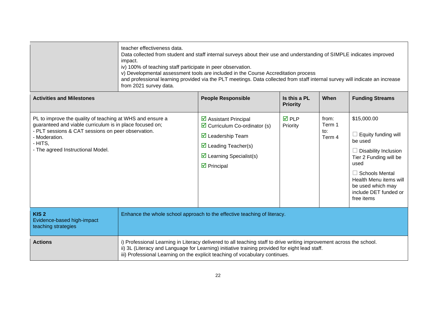|                                                                                                                                                                                                                                              | teacher effectiveness data.<br>Data collected from student and staff internal surveys about their use and understanding of SIMPLE indicates improved<br>impact.<br>iv) 100% of teaching staff participate in peer observation.<br>v) Developmental assessment tools are included in the Course Accreditation process<br>and professional learning provided via the PLT meetings. Data collected from staff internal survey will indicate an increase<br>from 2021 survey data. |                                                                                                                                                                                                                                                                                                        |                                 |                                             |                                                                                                                                                                                                                                      |
|----------------------------------------------------------------------------------------------------------------------------------------------------------------------------------------------------------------------------------------------|--------------------------------------------------------------------------------------------------------------------------------------------------------------------------------------------------------------------------------------------------------------------------------------------------------------------------------------------------------------------------------------------------------------------------------------------------------------------------------|--------------------------------------------------------------------------------------------------------------------------------------------------------------------------------------------------------------------------------------------------------------------------------------------------------|---------------------------------|---------------------------------------------|--------------------------------------------------------------------------------------------------------------------------------------------------------------------------------------------------------------------------------------|
| <b>Activities and Milestones</b>                                                                                                                                                                                                             |                                                                                                                                                                                                                                                                                                                                                                                                                                                                                | <b>People Responsible</b>                                                                                                                                                                                                                                                                              | Is this a PL<br><b>Priority</b> | When                                        | <b>Funding Streams</b>                                                                                                                                                                                                               |
| PL to improve the quality of teaching at WHS and ensure a<br>guaranteed and viable curriculum is in place focused on;<br>- PLT sessions & CAT sessions on peer observation.<br>- Moderation.<br>- HITS,<br>- The agreed Instructional Model. |                                                                                                                                                                                                                                                                                                                                                                                                                                                                                | $\triangleright$ Assistant Principal<br>$\triangleright$ Curriculum Co-ordinator (s)<br>$\triangleright$ Leadership Team<br>$\overline{\mathbf{y}}$ Leading Teacher(s)<br>$\triangleright$ Learning Specialist(s)<br>$\triangleright$ Principal                                                        | $\overline{M}$ PLP<br>Priority  | from:<br>Term 1<br>$\mathsf{to}:$<br>Term 4 | \$15,000.00<br>$\Box$ Equity funding will<br>be used<br>$\Box$ Disability Inclusion<br>Tier 2 Funding will be<br>used<br>$\Box$ Schools Mental<br>Health Menu items will<br>be used which may<br>include DET funded or<br>free items |
| KIS <sub>2</sub><br>Evidence-based high-impact<br>teaching strategies                                                                                                                                                                        |                                                                                                                                                                                                                                                                                                                                                                                                                                                                                | Enhance the whole school approach to the effective teaching of literacy.                                                                                                                                                                                                                               |                                 |                                             |                                                                                                                                                                                                                                      |
| <b>Actions</b>                                                                                                                                                                                                                               |                                                                                                                                                                                                                                                                                                                                                                                                                                                                                | i) Professional Learning in Literacy delivered to all teaching staff to drive writing improvement across the school.<br>ii) 3L (Literacy and Language for Learning) initiative training provided for eight lead staff.<br>iii) Professional Learning on the explicit teaching of vocabulary continues. |                                 |                                             |                                                                                                                                                                                                                                      |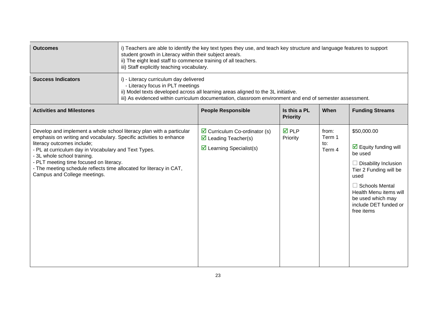| <b>Outcomes</b>                                                                                                                                                                                                                                                                                                                                                                                                   | i) Teachers are able to identify the key text types they use, and teach key structure and language features to support<br>student growth in Literacy within their subject area/s.<br>ii) The eight lead staff to commence training of all teachers.<br>iii) Staff explicitly teaching vocabulary. |                                                                                                                                                                                                                                                                             |                                 |                                  |                                                                                                                                                                                                                                                |
|-------------------------------------------------------------------------------------------------------------------------------------------------------------------------------------------------------------------------------------------------------------------------------------------------------------------------------------------------------------------------------------------------------------------|---------------------------------------------------------------------------------------------------------------------------------------------------------------------------------------------------------------------------------------------------------------------------------------------------|-----------------------------------------------------------------------------------------------------------------------------------------------------------------------------------------------------------------------------------------------------------------------------|---------------------------------|----------------------------------|------------------------------------------------------------------------------------------------------------------------------------------------------------------------------------------------------------------------------------------------|
| <b>Success Indicators</b>                                                                                                                                                                                                                                                                                                                                                                                         |                                                                                                                                                                                                                                                                                                   | i) - Literacy curriculum day delivered<br>- Literacy focus in PLT meetings<br>ii) Model texts developed across all learning areas aligned to the 3L initiative.<br>iii) As evidenced within curriculum documentation, classroom environment and end of semester assessment. |                                 |                                  |                                                                                                                                                                                                                                                |
| <b>Activities and Milestones</b>                                                                                                                                                                                                                                                                                                                                                                                  |                                                                                                                                                                                                                                                                                                   | <b>People Responsible</b>                                                                                                                                                                                                                                                   | Is this a PL<br><b>Priority</b> | When                             | <b>Funding Streams</b>                                                                                                                                                                                                                         |
| Develop and implement a whole school literacy plan with a particular<br>emphasis on writing and vocabulary. Specific activities to enhance<br>literacy outcomes include;<br>- PL at curriculum day in Vocabulary and Text Types.<br>- 3L whole school training.<br>- PLT meeting time focused on literacy.<br>- The meeting schedule reflects time allocated for literacy in CAT,<br>Campus and College meetings. |                                                                                                                                                                                                                                                                                                   | $\triangleright$ Curriculum Co-ordinator (s)<br>$\triangledown$ Leading Teacher(s)<br>$\triangleright$ Learning Specialist(s)                                                                                                                                               | $\overline{M}$ PLP<br>Priority  | from:<br>Term 1<br>to:<br>Term 4 | \$50,000.00<br>$\triangleright$ Equity funding will<br>be used<br>$\Box$ Disability Inclusion<br>Tier 2 Funding will be<br>used<br>$\Box$ Schools Mental<br>Health Menu items will<br>be used which may<br>include DET funded or<br>free items |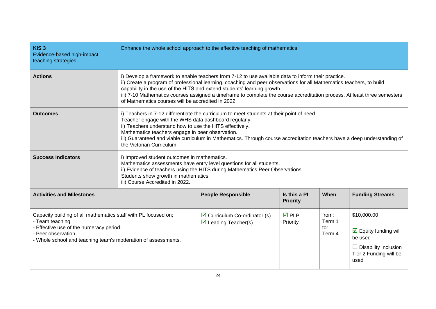| KIS <sub>3</sub><br>Evidence-based high-impact<br>teaching strategies                                                                                                                                                |                                                                                                                                                                                                                                                                                  | Enhance the whole school approach to the effective teaching of mathematics                                                                                                                                                                                                                                                                                                                                                                                                                |                                 |                                  |                                                                                                                                        |
|----------------------------------------------------------------------------------------------------------------------------------------------------------------------------------------------------------------------|----------------------------------------------------------------------------------------------------------------------------------------------------------------------------------------------------------------------------------------------------------------------------------|-------------------------------------------------------------------------------------------------------------------------------------------------------------------------------------------------------------------------------------------------------------------------------------------------------------------------------------------------------------------------------------------------------------------------------------------------------------------------------------------|---------------------------------|----------------------------------|----------------------------------------------------------------------------------------------------------------------------------------|
| <b>Actions</b>                                                                                                                                                                                                       |                                                                                                                                                                                                                                                                                  | i) Develop a framework to enable teachers from 7-12 to use available data to inform their practice.<br>ii) Create a program of professional learning, coaching and peer observations for all Mathematics teachers, to build<br>capability in the use of the HITS and extend students' learning growth.<br>iii) 7-10 Mathematics courses assigned a timeframe to complete the course accreditation process. At least three semesters<br>of Mathematics courses will be accredited in 2022. |                                 |                                  |                                                                                                                                        |
| <b>Outcomes</b>                                                                                                                                                                                                      | the Victorian Curriculum.                                                                                                                                                                                                                                                        | i) Teachers in 7-12 differentiate the curriculum to meet students at their point of need.<br>Teacher engage with the WHS data dashboard regularly.<br>ii) Teachers understand how to use the HITS effectively.<br>Mathematics teachers engage in peer observation.<br>iii) Guaranteed and viable curriculum in Mathematics. Through course accreditation teachers have a deep understanding of                                                                                            |                                 |                                  |                                                                                                                                        |
| <b>Success Indicators</b>                                                                                                                                                                                            | i) Improved student outcomes in mathematics.<br>Mathematics assessments have entry level questions for all students.<br>ii) Evidence of teachers using the HITS during Mathematics Peer Observations.<br>Students show growth in mathematics.<br>iii) Course Accredited in 2022. |                                                                                                                                                                                                                                                                                                                                                                                                                                                                                           |                                 |                                  |                                                                                                                                        |
| <b>Activities and Milestones</b>                                                                                                                                                                                     |                                                                                                                                                                                                                                                                                  | <b>People Responsible</b>                                                                                                                                                                                                                                                                                                                                                                                                                                                                 | Is this a PL<br><b>Priority</b> | When                             | <b>Funding Streams</b>                                                                                                                 |
| Capacity building of all mathematics staff with PL focused on;<br>- Team teaching.<br>- Effective use of the numeracy period.<br>- Peer observation<br>- Whole school and teaching team's moderation of assessments. |                                                                                                                                                                                                                                                                                  | $\triangleright$ Curriculum Co-ordinator (s)<br>$\triangleright$ Leading Teacher(s)                                                                                                                                                                                                                                                                                                                                                                                                       | $\overline{M}$ PLP<br>Priority  | from:<br>Term 1<br>to:<br>Term 4 | \$10,000.00<br>$\overline{\mathbf{M}}$ Equity funding will<br>be used<br>$\Box$ Disability Inclusion<br>Tier 2 Funding will be<br>used |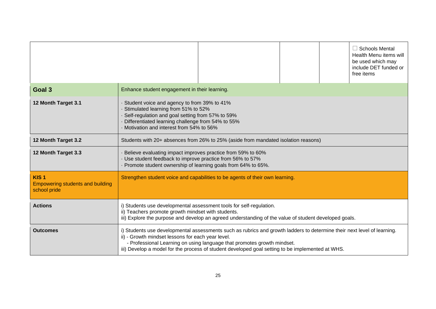|                                                                             |                                                                                                                                                                                                                                        |                                                                                                                                                                                                                                                                                                        |  |  | <b>Schools Mental</b><br>Health Menu items will<br>be used which may<br>include DET funded or<br>free items |
|-----------------------------------------------------------------------------|----------------------------------------------------------------------------------------------------------------------------------------------------------------------------------------------------------------------------------------|--------------------------------------------------------------------------------------------------------------------------------------------------------------------------------------------------------------------------------------------------------------------------------------------------------|--|--|-------------------------------------------------------------------------------------------------------------|
| Goal 3                                                                      | Enhance student engagement in their learning.                                                                                                                                                                                          |                                                                                                                                                                                                                                                                                                        |  |  |                                                                                                             |
| 12 Month Target 3.1                                                         | Student voice and agency to from 39% to 41%<br>Stimulated learning from 51% to 52%<br>Self-regulation and goal setting from 57% to 59%<br>Differentiated learning challenge from 54% to 55%<br>Motivation and interest from 54% to 56% |                                                                                                                                                                                                                                                                                                        |  |  |                                                                                                             |
| 12 Month Target 3.2                                                         | Students with 20+ absences from 26% to 25% (aside from mandated isolation reasons)                                                                                                                                                     |                                                                                                                                                                                                                                                                                                        |  |  |                                                                                                             |
| 12 Month Target 3.3                                                         | Believe evaluating impact improves practice from 59% to 60%<br>Use student feedback to improve practice from 56% to 57%<br>Promote student ownership of learning goals from 64% to 65%.                                                |                                                                                                                                                                                                                                                                                                        |  |  |                                                                                                             |
| KIS <sub>1</sub><br><b>Empowering students and building</b><br>school pride |                                                                                                                                                                                                                                        | Strengthen student voice and capabilities to be agents of their own learning.                                                                                                                                                                                                                          |  |  |                                                                                                             |
| <b>Actions</b>                                                              | i) Students use developmental assessment tools for self-regulation.<br>ii) Teachers promote growth mindset with students.                                                                                                              | iii) Explore the purpose and develop an agreed understanding of the value of student developed goals.                                                                                                                                                                                                  |  |  |                                                                                                             |
| <b>Outcomes</b>                                                             | ii) - Growth mindset lessons for each year level.                                                                                                                                                                                      | i) Students use developmental assessments such as rubrics and growth ladders to determine their next level of learning.<br>- Professional Learning on using language that promotes growth mindset.<br>iii) Develop a model for the process of student developed goal setting to be implemented at WHS. |  |  |                                                                                                             |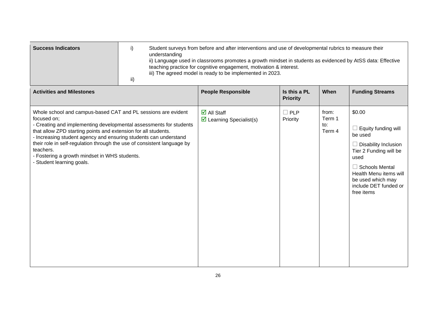| <b>Success Indicators</b> | Student surveys from before and after interventions and use of developmental rubrics to measure their<br>understanding<br>ii) Language used in classrooms promotes a growth mindset in students as evidenced by AtSS data: Effective<br>teaching practice for cognitive engagement, motivation & interest.<br>iii) The agreed model is ready to be implemented in 2023. |
|---------------------------|-------------------------------------------------------------------------------------------------------------------------------------------------------------------------------------------------------------------------------------------------------------------------------------------------------------------------------------------------------------------------|
|                           |                                                                                                                                                                                                                                                                                                                                                                         |

| <b>Activities and Milestones</b>                                                                                                                                                                                                                                                                                                                                                                                                                               | <b>People Responsible</b>                                                    | Is this a PL<br><b>Priority</b> | When                             | <b>Funding Streams</b>                                                                                                                                                                                                          |
|----------------------------------------------------------------------------------------------------------------------------------------------------------------------------------------------------------------------------------------------------------------------------------------------------------------------------------------------------------------------------------------------------------------------------------------------------------------|------------------------------------------------------------------------------|---------------------------------|----------------------------------|---------------------------------------------------------------------------------------------------------------------------------------------------------------------------------------------------------------------------------|
| Whole school and campus-based CAT and PL sessions are evident<br>focused on;<br>- Creating and implementing developmental assessments for students<br>that allow ZPD starting points and extension for all students.<br>- Increasing student agency and ensuring students can understand<br>their role in self-regulation through the use of consistent language by<br>teachers.<br>- Fostering a growth mindset in WHS students.<br>- Student learning goals. | $\overline{\mathsf{d}}$ All Staff<br>$\triangleright$ Learning Specialist(s) | $\Box$ PLP<br>Priority          | from:<br>Term 1<br>to:<br>Term 4 | \$0.00<br>$\Box$ Equity funding will<br>be used<br>$\Box$ Disability Inclusion<br>Tier 2 Funding will be<br>used<br>$\Box$ Schools Mental<br>Health Menu items will<br>be used which may<br>include DET funded or<br>free items |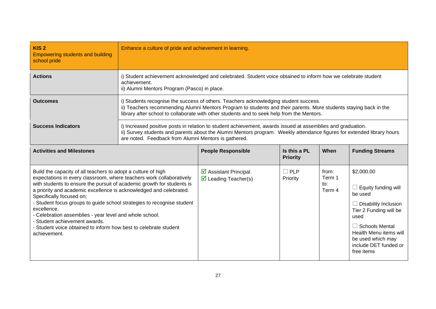| KIS <sub>2</sub><br><b>Empowering students and building</b><br>school pride                                                                                                                                                                                                                                                                                                                                                                                                                                                                                                                | Enhance a culture of pride and achievement in learning.                                                                                                                                                                                                                                                 |                                                                                                                                                               |                                 |                                  |                                                                                                                                                                                                                                     |  |
|--------------------------------------------------------------------------------------------------------------------------------------------------------------------------------------------------------------------------------------------------------------------------------------------------------------------------------------------------------------------------------------------------------------------------------------------------------------------------------------------------------------------------------------------------------------------------------------------|---------------------------------------------------------------------------------------------------------------------------------------------------------------------------------------------------------------------------------------------------------------------------------------------------------|---------------------------------------------------------------------------------------------------------------------------------------------------------------|---------------------------------|----------------------------------|-------------------------------------------------------------------------------------------------------------------------------------------------------------------------------------------------------------------------------------|--|
| <b>Actions</b>                                                                                                                                                                                                                                                                                                                                                                                                                                                                                                                                                                             | achievement.                                                                                                                                                                                                                                                                                            | i) Student achievement acknowledged and celebrated. Student voice obtained to inform how we celebrate student<br>ii) Alumni Mentors Program (Pasco) in place. |                                 |                                  |                                                                                                                                                                                                                                     |  |
| <b>Outcomes</b>                                                                                                                                                                                                                                                                                                                                                                                                                                                                                                                                                                            | i) Students recognise the success of others. Teachers acknowledging student success.<br>ii) Teachers recommending Alumni Mentors Program to students and their parents. More students staying back in the<br>library after school to collaborate with other students and to seek help from the Mentors. |                                                                                                                                                               |                                 |                                  |                                                                                                                                                                                                                                     |  |
| <b>Success Indicators</b>                                                                                                                                                                                                                                                                                                                                                                                                                                                                                                                                                                  | i) Increased positive posts in relation to student achievement, awards issued at assemblies and graduation.<br>ii) Survey students and parents about the Alumni Mentors program. Weekly attendance figures for extended library hours<br>are noted. Feedback from Alumni Mentors is gathered.           |                                                                                                                                                               |                                 |                                  |                                                                                                                                                                                                                                     |  |
| <b>Activities and Milestones</b>                                                                                                                                                                                                                                                                                                                                                                                                                                                                                                                                                           |                                                                                                                                                                                                                                                                                                         | <b>People Responsible</b>                                                                                                                                     | Is this a PL<br><b>Priority</b> | When                             | <b>Funding Streams</b>                                                                                                                                                                                                              |  |
| Build the capacity of all teachers to adopt a culture of high<br>expectations in every classroom, where teachers work collaboratively<br>with students to ensure the pursuit of academic growth for students is<br>a priority and academic excellence is acknowledged and celebrated.<br>Specifically focused on;<br>- Student focus groups to guide school strategies to recognise student<br>excellence.<br>- Celebration assemblies - year level and whole school.<br>- Student achievement awards.<br>- Student voice obtained to inform how best to celebrate student<br>achievement. |                                                                                                                                                                                                                                                                                                         | ☑ Assistant Principal<br>$\triangledown$ Leading Teacher(s)                                                                                                   | $\square$ PLP<br>Priority       | from:<br>Term 1<br>to:<br>Term 4 | \$2,000.00<br>$\Box$ Equity funding will<br>be used<br>$\Box$ Disability Inclusion<br>Tier 2 Funding will be<br>used<br>$\Box$ Schools Mental<br>Health Menu items will<br>be used which may<br>include DET funded or<br>free items |  |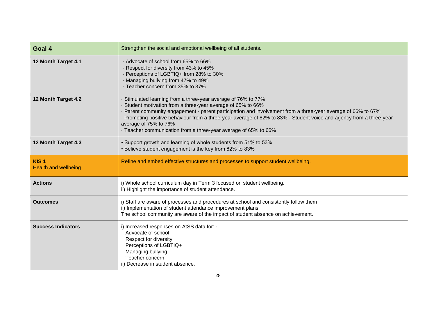| Goal 4                                          | Strengthen the social and emotional wellbeing of all students.                                                                                                                                                                                                                                                                                                                                                                                           |
|-------------------------------------------------|----------------------------------------------------------------------------------------------------------------------------------------------------------------------------------------------------------------------------------------------------------------------------------------------------------------------------------------------------------------------------------------------------------------------------------------------------------|
| 12 Month Target 4.1                             | . Advocate of school from 65% to 66%<br>Respect for diversity from 43% to 45%<br>· Perceptions of LGBTIQ+ from 28% to 30%<br>Managing bullying from 47% to 49%<br>· Teacher concern from 35% to 37%                                                                                                                                                                                                                                                      |
| 12 Month Target 4.2                             | Stimulated learning from a three-year average of 76% to 77%<br>Student motivation from a three-year average of 65% to 66%<br>Parent community engagement - parent participation and involvement from a three-year average of 66% to 67%<br>Promoting positive behaviour from a three-year average of 82% to 83% · Student voice and agency from a three-year<br>average of 75% to 76%<br>- Teacher communication from a three-year average of 65% to 66% |
| 12 Month Target 4.3                             | • Support growth and learning of whole students from 51% to 53%<br>• Believe student engagement is the key from 82% to 83%                                                                                                                                                                                                                                                                                                                               |
| KIS <sub>1</sub><br><b>Health and wellbeing</b> | Refine and embed effective structures and processes to support student wellbeing.                                                                                                                                                                                                                                                                                                                                                                        |
| <b>Actions</b>                                  | i) Whole school curriculum day in Term 3 focused on student wellbeing.<br>ii) Highlight the importance of student attendance.                                                                                                                                                                                                                                                                                                                            |
| <b>Outcomes</b>                                 | i) Staff are aware of processes and procedures at school and consistently follow them<br>ii) Implementation of student attendance improvement plans.<br>The school community are aware of the impact of student absence on achievement.                                                                                                                                                                                                                  |
| <b>Success Indicators</b>                       | i) Increased responses on AtSS data for: .<br>Advocate of school<br>Respect for diversity<br>Perceptions of LGBTIQ+<br>Managing bullying<br>Teacher concern<br>ii) Decrease in student absence.                                                                                                                                                                                                                                                          |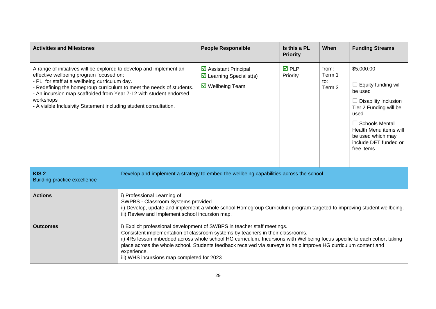| <b>Activities and Milestones</b>                                                                                                                                                                                                                                                                                                                                                                |                                                                                                                                                                                                                                                                                                                                                                                                                                                                          | <b>People Responsible</b>                                                                                     | Is this a PL<br><b>Priority</b> | When                             | <b>Funding Streams</b>                                                                                                                                                                                                       |
|-------------------------------------------------------------------------------------------------------------------------------------------------------------------------------------------------------------------------------------------------------------------------------------------------------------------------------------------------------------------------------------------------|--------------------------------------------------------------------------------------------------------------------------------------------------------------------------------------------------------------------------------------------------------------------------------------------------------------------------------------------------------------------------------------------------------------------------------------------------------------------------|---------------------------------------------------------------------------------------------------------------|---------------------------------|----------------------------------|------------------------------------------------------------------------------------------------------------------------------------------------------------------------------------------------------------------------------|
| A range of initiatives will be explored to develop and implement an<br>effective wellbeing program focused on;<br>- PL for staff at a wellbeing curriculum day.<br>- Redefining the homegroup curriculum to meet the needs of students.<br>- An incursion map scaffolded from Year 7-12 with student endorsed<br>workshops<br>- A visible Inclusivity Statement including student consultation. |                                                                                                                                                                                                                                                                                                                                                                                                                                                                          | $\triangleright$ Assistant Principal<br>$\triangleright$ Learning Specialist(s)<br>$\boxtimes$ Wellbeing Team | <b>☑</b> PLP<br>Priority        | from:<br>Term 1<br>to:<br>Term 3 | \$5,000.00<br>Equity funding will<br>be used<br>$\Box$ Disability Inclusion<br>Tier 2 Funding will be<br>used<br>$\Box$ Schools Mental<br>Health Menu items will<br>be used which may<br>include DET funded or<br>free items |
| KIS <sub>2</sub><br><b>Building practice excellence</b>                                                                                                                                                                                                                                                                                                                                         | Develop and implement a strategy to embed the wellbeing capabilities across the school.                                                                                                                                                                                                                                                                                                                                                                                  |                                                                                                               |                                 |                                  |                                                                                                                                                                                                                              |
| <b>Actions</b>                                                                                                                                                                                                                                                                                                                                                                                  | i) Professional Learning of<br>SWPBS - Classroom Systems provided.<br>ii) Develop, update and implement a whole school Homegroup Curriculum program targeted to improving student wellbeing.<br>iii) Review and Implement school incursion map.                                                                                                                                                                                                                          |                                                                                                               |                                 |                                  |                                                                                                                                                                                                                              |
| <b>Outcomes</b>                                                                                                                                                                                                                                                                                                                                                                                 | i) Explicit professional development of SWBPS in teacher staff meetings.<br>Consistent implementation of classroom systems by teachers in their classrooms.<br>ii) 4Rs lesson imbedded across whole school HG curriculum. Incursions with Wellbeing focus specific to each cohort taking<br>place across the whole school. Students feedback received via surveys to help improve HG curriculum content and<br>experience.<br>iii) WHS incursions map completed for 2023 |                                                                                                               |                                 |                                  |                                                                                                                                                                                                                              |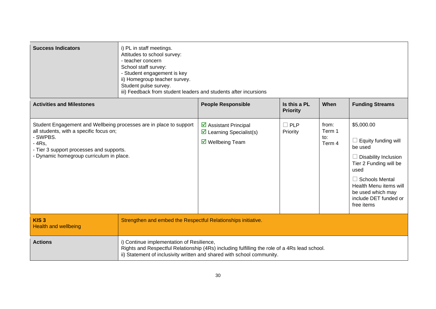| <b>Success Indicators</b>                                                                                                                                                                                                    | i) PL in staff meetings.<br>Attitudes to school survey:<br>- teacher concern<br>School staff survey:<br>- Student engagement is key<br>ii) Homegroup teacher survey.<br>Student pulse survey.<br>iii) Feedback from student leaders and students after incursions |                                                                                                                                                                        |                                 |                                  |                                                                                                                                                                                                                                     |
|------------------------------------------------------------------------------------------------------------------------------------------------------------------------------------------------------------------------------|-------------------------------------------------------------------------------------------------------------------------------------------------------------------------------------------------------------------------------------------------------------------|------------------------------------------------------------------------------------------------------------------------------------------------------------------------|---------------------------------|----------------------------------|-------------------------------------------------------------------------------------------------------------------------------------------------------------------------------------------------------------------------------------|
| <b>Activities and Milestones</b>                                                                                                                                                                                             |                                                                                                                                                                                                                                                                   | <b>People Responsible</b>                                                                                                                                              | Is this a PL<br><b>Priority</b> | When                             | <b>Funding Streams</b>                                                                                                                                                                                                              |
| Student Engagement and Wellbeing processes are in place to support<br>all students, with a specific focus on;<br>- SWPBS.<br>$-4Rs,$<br>- Tier 3 support processes and supports.<br>- Dynamic homegroup curriculum in place. |                                                                                                                                                                                                                                                                   | ☑ Assistant Principal<br>$\triangleright$ Learning Specialist(s)<br>$\triangledown$ Wellbeing Team                                                                     | $\square$ PLP<br>Priority       | from:<br>Term 1<br>to:<br>Term 4 | \$5,000.00<br>$\Box$ Equity funding will<br>be used<br>$\Box$ Disability Inclusion<br>Tier 2 Funding will be<br>used<br>$\Box$ Schools Mental<br>Health Menu items will<br>be used which may<br>include DET funded or<br>free items |
| KIS <sub>3</sub><br><b>Health and wellbeing</b>                                                                                                                                                                              | Strengthen and embed the Respectful Relationships initiative.                                                                                                                                                                                                     |                                                                                                                                                                        |                                 |                                  |                                                                                                                                                                                                                                     |
| <b>Actions</b>                                                                                                                                                                                                               | i) Continue implementation of Resilience,                                                                                                                                                                                                                         | Rights and Respectful Relationship (4Rs) including fulfilling the role of a 4Rs lead school.<br>ii) Statement of inclusivity written and shared with school community. |                                 |                                  |                                                                                                                                                                                                                                     |